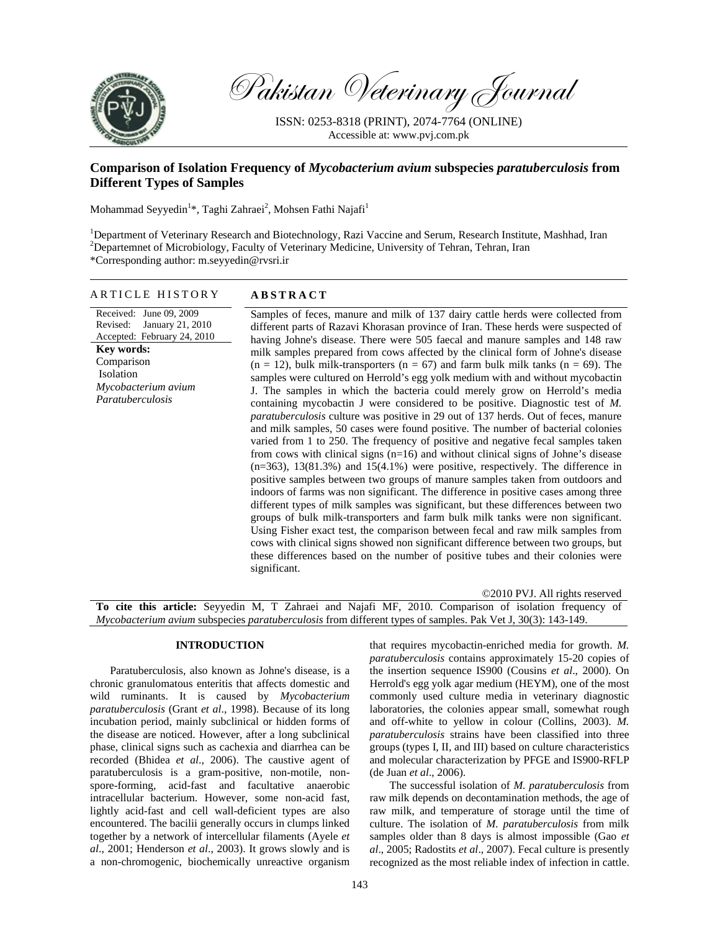

Pakistan Veterinary Journal

ISSN: 0253-8318 (PRINT), 2074-7764 (ONLINE) Accessible at: www.pvj.com.pk

# **Comparison of Isolation Frequency of** *Mycobacterium avium* **subspecies** *paratuberculosis* **from Different Types of Samples**

Mohammad Seyyedin<sup>1</sup>\*, Taghi Zahraei<sup>2</sup>, Mohsen Fathi Najafi<sup>1</sup>

<sup>1</sup>Department of Veterinary Research and Biotechnology, Razi Vaccine and Serum, Research Institute, Mashhad, Iran <sup>2</sup>Departemnet of Microbiology, Faculty of Veterinary Medicine, University of Tehran, Tehran, Iran \*Corresponding author: m.seyyedin@rvsri.ir

## ARTICLE HISTORY **ABSTRACT**

## Received: June 09, 2009 Revised: January 21, 2010 Accepted: February 24, 2010 **Key words:**  Comparison Isolation *Mycobacterium avium*

*Paratuberculosis*

different parts of Razavi Khorasan province of Iran. These herds were suspected of having Johne's disease. There were 505 faecal and manure samples and 148 raw milk samples prepared from cows affected by the clinical form of Johne's disease  $(n = 12)$ , bulk milk-transporters  $(n = 67)$  and farm bulk milk tanks  $(n = 69)$ . The samples were cultured on Herrold's egg yolk medium with and without mycobactin J. The samples in which the bacteria could merely grow on Herrold's media containing mycobactin J were considered to be positive. Diagnostic test of *M. paratuberculosis* culture was positive in 29 out of 137 herds. Out of feces, manure and milk samples, 50 cases were found positive. The number of bacterial colonies varied from 1 to 250. The frequency of positive and negative fecal samples taken from cows with clinical signs (n=16) and without clinical signs of Johne's disease  $(n=363)$ , 13(81.3%) and 15(4.1%) were positive, respectively. The difference in positive samples between two groups of manure samples taken from outdoors and indoors of farms was non significant. The difference in positive cases among three different types of milk samples was significant, but these differences between two groups of bulk milk-transporters and farm bulk milk tanks were non significant. Using Fisher exact test, the comparison between fecal and raw milk samples from cows with clinical signs showed non significant difference between two groups, but these differences based on the number of positive tubes and their colonies were significant.

Samples of feces, manure and milk of 137 dairy cattle herds were collected from

©2010 PVJ. All rights reserved **To cite this article:** Seyyedin M, T Zahraei and Najafi MF, 2010. Comparison of isolation frequency of *Mycobacterium avium* subspecies *paratuberculosis* from different types of samples. Pak Vet J, 30(3): 143-149.

## **INTRODUCTION**

Paratuberculosis, also known as Johne's disease, is a chronic granulomatous enteritis that affects domestic and wild ruminants. It is caused by *Mycobacterium paratuberculosis* (Grant *et al*., 1998). Because of its long incubation period, mainly subclinical or hidden forms of the disease are noticed. However, after a long subclinical phase, clinical signs such as cachexia and diarrhea can be recorded (Bhidea *et al*., 2006). The caustive agent of paratuberculosis is a gram-positive, non-motile, nonspore-forming, acid-fast and facultative anaerobic intracellular bacterium. However, some non-acid fast, lightly acid-fast and cell wall-deficient types are also encountered. The bacilii generally occurs in clumps linked together by a network of intercellular filaments (Ayele *et al*., 2001; Henderson *et al*., 2003). It grows slowly and is a non-chromogenic, biochemically unreactive organism

that requires mycobactin-enriched media for growth. *M. paratuberculosis* contains approximately 15-20 copies of the insertion sequence IS900 (Cousins *et al*., 2000). On Herrold's egg yolk agar medium (HEYM), one of the most commonly used culture media in veterinary diagnostic laboratories, the colonies appear small, somewhat rough and off-white to yellow in colour (Collins, 2003). *M. paratuberculosis* strains have been classified into three groups (types I, II, and III) based on culture characteristics and molecular characterization by PFGE and IS900-RFLP (de Juan *et al*., 2006).

The successful isolation of *M. paratuberculosis* from raw milk depends on decontamination methods, the age of raw milk, and temperature of storage until the time of culture. The isolation of *M. paratuberculosis* from milk samples older than 8 days is almost impossible (Gao *et al*., 2005; Radostits *et al*., 2007). Fecal culture is presently recognized as the most reliable index of infection in cattle.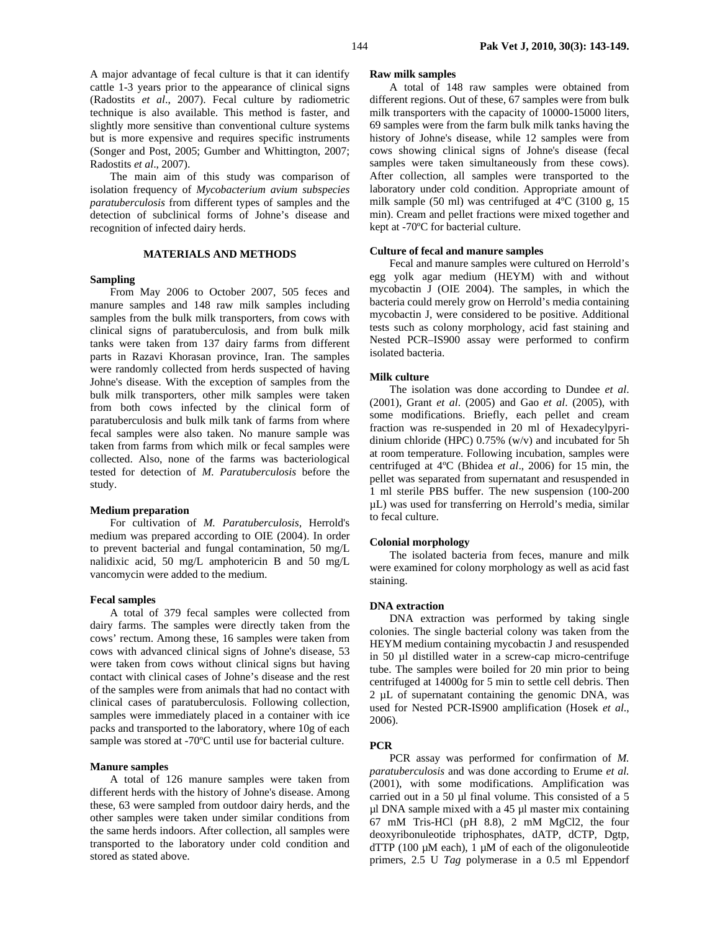A major advantage of fecal culture is that it can identify cattle 1-3 years prior to the appearance of clinical signs (Radostits *et al*., 2007). Fecal culture by radiometric technique is also available. This method is faster, and slightly more sensitive than conventional culture systems but is more expensive and requires specific instruments (Songer and Post, 2005; Gumber and Whittington, 2007; Radostits *et al*., 2007).

The main aim of this study was comparison of isolation frequency of *Mycobacterium avium subspecies paratuberculosis* from different types of samples and the detection of subclinical forms of Johne's disease and recognition of infected dairy herds.

## **MATERIALS AND METHODS**

#### **Sampling**

From May 2006 to October 2007, 505 feces and manure samples and 148 raw milk samples including samples from the bulk milk transporters, from cows with clinical signs of paratuberculosis, and from bulk milk tanks were taken from 137 dairy farms from different parts in Razavi Khorasan province, Iran. The samples were randomly collected from herds suspected of having Johne's disease. With the exception of samples from the bulk milk transporters, other milk samples were taken from both cows infected by the clinical form of paratuberculosis and bulk milk tank of farms from where fecal samples were also taken. No manure sample was taken from farms from which milk or fecal samples were collected. Also, none of the farms was bacteriological tested for detection of *M. Paratuberculosis* before the study.

## **Medium preparation**

For cultivation of *M. Paratuberculosis,* Herrold's medium was prepared according to OIE (2004). In order to prevent bacterial and fungal contamination, 50 mg/L nalidixic acid, 50 mg/L amphotericin B and 50 mg/L vancomycin were added to the medium.

## **Fecal samples**

A total of 379 fecal samples were collected from dairy farms. The samples were directly taken from the cows' rectum. Among these, 16 samples were taken from cows with advanced clinical signs of Johne's disease, 53 were taken from cows without clinical signs but having contact with clinical cases of Johne's disease and the rest of the samples were from animals that had no contact with clinical cases of paratuberculosis. Following collection, samples were immediately placed in a container with ice packs and transported to the laboratory, where 10g of each sample was stored at -70ºC until use for bacterial culture.

### **Manure samples**

A total of 126 manure samples were taken from different herds with the history of Johne's disease. Among these, 63 were sampled from outdoor dairy herds, and the other samples were taken under similar conditions from the same herds indoors. After collection, all samples were transported to the laboratory under cold condition and stored as stated above.

#### **Raw milk samples**

A total of 148 raw samples were obtained from different regions. Out of these, 67 samples were from bulk milk transporters with the capacity of 10000-15000 liters, 69 samples were from the farm bulk milk tanks having the history of Johne's disease, while 12 samples were from cows showing clinical signs of Johne's disease (fecal samples were taken simultaneously from these cows). After collection, all samples were transported to the laboratory under cold condition. Appropriate amount of milk sample (50 ml) was centrifuged at 4ºC (3100 g, 15 min). Cream and pellet fractions were mixed together and kept at -70ºC for bacterial culture.

## **Culture of fecal and manure samples**

Fecal and manure samples were cultured on Herrold's egg yolk agar medium (HEYM) with and without mycobactin J (OIE 2004). The samples, in which the bacteria could merely grow on Herrold's media containing mycobactin J, were considered to be positive. Additional tests such as colony morphology, acid fast staining and Nested PCR–IS900 assay were performed to confirm isolated bacteria.

## **Milk culture**

The isolation was done according to Dundee *et al*. (2001), Grant *et al*. (2005) and Gao *et al*. (2005), with some modifications. Briefly, each pellet and cream fraction was re-suspended in 20 ml of Hexadecylpyridinium chloride (HPC) 0.75% (w/v) and incubated for 5h at room temperature. Following incubation, samples were centrifuged at 4ºC (Bhidea *et al*., 2006) for 15 min, the pellet was separated from supernatant and resuspended in 1 ml sterile PBS buffer. The new suspension (100-200 µL) was used for transferring on Herrold's media, similar to fecal culture.

#### **Colonial morphology**

The isolated bacteria from feces, manure and milk were examined for colony morphology as well as acid fast staining.

## **DNA extraction**

DNA extraction was performed by taking single colonies. The single bacterial colony was taken from the HEYM medium containing mycobactin J and resuspended in 50 µl distilled water in a screw-cap micro-centrifuge tube. The samples were boiled for 20 min prior to being centrifuged at 14000g for 5 min to settle cell debris. Then 2 µL of supernatant containing the genomic DNA, was used for Nested PCR-IS900 amplification (Hosek *et al*., 2006).

## **PCR**

PCR assay was performed for confirmation of *M. paratuberculosis* and was done according to Erume *et al.* (2001), with some modifications. Amplification was carried out in a 50 µl final volume. This consisted of a 5 µl DNA sample mixed with a 45 µl master mix containing 67 mM Tris-HCl (pH 8.8), 2 mM MgCl2, the four deoxyribonuleotide triphosphates, dATP, dCTP, Dgtp,  $dTTP$  (100  $\mu$ M each), 1  $\mu$ M of each of the oligonuleotide primers, 2.5 U *Tag* polymerase in a 0.5 ml Eppendorf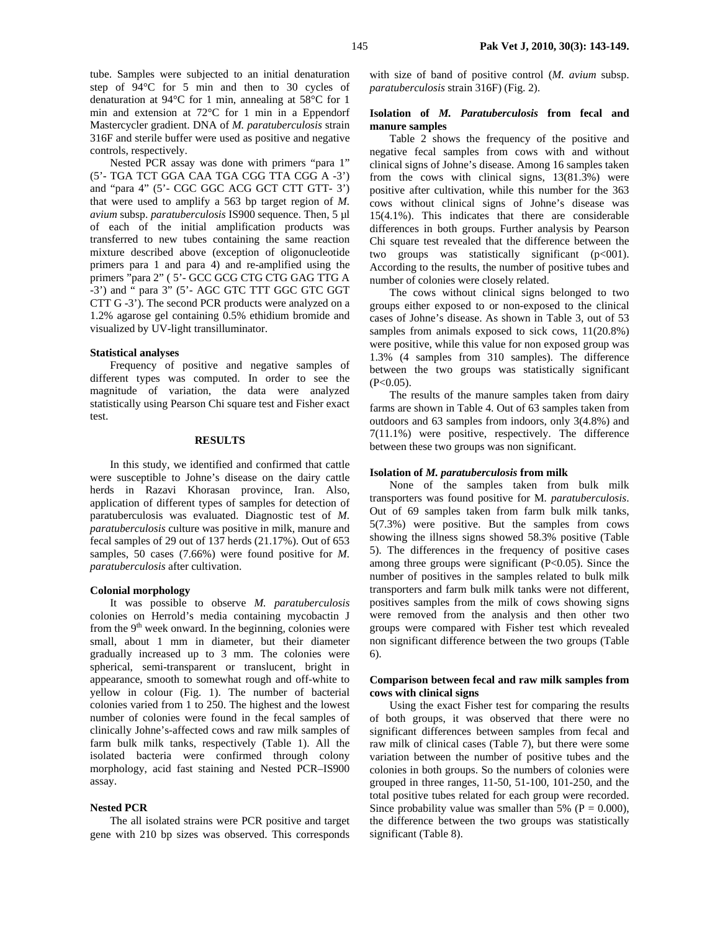tube. Samples were subjected to an initial denaturation step of 94°C for 5 min and then to 30 cycles of denaturation at 94°C for 1 min, annealing at 58°C for 1 min and extension at 72°C for 1 min in a Eppendorf Mastercycler gradient. DNA of *M. paratuberculosis* strain 316F and sterile buffer were used as positive and negative controls, respectively.

Nested PCR assay was done with primers "para 1" (5'- TGA TCT GGA CAA TGA CGG TTA CGG A -3') and "para 4" (5'- CGC GGC ACG GCT CTT GTT- 3') that were used to amplify a 563 bp target region of *M. avium* subsp. *paratuberculosis* IS900 sequence. Then, 5 µl of each of the initial amplification products was transferred to new tubes containing the same reaction mixture described above (exception of oligonucleotide primers para 1 and para 4) and re-amplified using the primers "para 2" ( 5'- GCC GCG CTG CTG GAG TTG A -3') and " para 3" (5'- AGC GTC TTT GGC GTC GGT CTT G -3'). The second PCR products were analyzed on a 1.2% agarose gel containing 0.5% ethidium bromide and visualized by UV-light transilluminator.

#### **Statistical analyses**

Frequency of positive and negative samples of different types was computed. In order to see the magnitude of variation, the data were analyzed statistically using Pearson Chi square test and Fisher exact test.

## **RESULTS**

In this study, we identified and confirmed that cattle were susceptible to Johne's disease on the dairy cattle herds in Razavi Khorasan province, Iran. Also, application of different types of samples for detection of paratuberculosis was evaluated. Diagnostic test of *M. paratuberculosis* culture was positive in milk, manure and fecal samples of 29 out of 137 herds (21.17%). Out of 653 samples, 50 cases (7.66%) were found positive for *M. paratuberculosis* after cultivation.

## **Colonial morphology**

It was possible to observe *M. paratuberculosis* colonies on Herrold's media containing mycobactin J from the  $9<sup>th</sup>$  week onward. In the beginning, colonies were small, about 1 mm in diameter, but their diameter gradually increased up to 3 mm. The colonies were spherical, semi-transparent or translucent, bright in appearance, smooth to somewhat rough and off-white to yellow in colour (Fig. 1). The number of bacterial colonies varied from 1 to 250. The highest and the lowest number of colonies were found in the fecal samples of clinically Johne's-affected cows and raw milk samples of farm bulk milk tanks, respectively (Table 1). All the isolated bacteria were confirmed through colony morphology, acid fast staining and Nested PCR–IS900 assay.

# **Nested PCR**

The all isolated strains were PCR positive and target gene with 210 bp sizes was observed. This corresponds

with size of band of positive control (*M. avium* subsp. *paratuberculosis* strain 316F) (Fig. 2).

## **Isolation of** *M. Paratuberculosis* **from fecal and manure samples**

Table 2 shows the frequency of the positive and negative fecal samples from cows with and without clinical signs of Johne's disease. Among 16 samples taken from the cows with clinical signs, 13(81.3%) were positive after cultivation, while this number for the 363 cows without clinical signs of Johne's disease was 15(4.1%). This indicates that there are considerable differences in both groups. Further analysis by Pearson Chi square test revealed that the difference between the two groups was statistically significant  $(p<001)$ . According to the results, the number of positive tubes and number of colonies were closely related.

The cows without clinical signs belonged to two groups either exposed to or non-exposed to the clinical cases of Johne's disease. As shown in Table 3, out of 53 samples from animals exposed to sick cows, 11(20.8%) were positive, while this value for non exposed group was 1.3% (4 samples from 310 samples). The difference between the two groups was statistically significant  $(P<0.05)$ .

The results of the manure samples taken from dairy farms are shown in Table 4. Out of 63 samples taken from outdoors and 63 samples from indoors, only 3(4.8%) and 7(11.1%) were positive, respectively. The difference between these two groups was non significant.

## **Isolation of** *M. paratuberculosis* **from milk**

None of the samples taken from bulk milk transporters was found positive for M*. paratuberculosis*. Out of 69 samples taken from farm bulk milk tanks, 5(7.3%) were positive. But the samples from cows showing the illness signs showed 58.3% positive (Table 5). The differences in the frequency of positive cases among three groups were significant (P<0.05). Since the number of positives in the samples related to bulk milk transporters and farm bulk milk tanks were not different, positives samples from the milk of cows showing signs were removed from the analysis and then other two groups were compared with Fisher test which revealed non significant difference between the two groups (Table 6).

## **Comparison between fecal and raw milk samples from cows with clinical signs**

Using the exact Fisher test for comparing the results of both groups, it was observed that there were no significant differences between samples from fecal and raw milk of clinical cases (Table 7), but there were some variation between the number of positive tubes and the colonies in both groups. So the numbers of colonies were grouped in three ranges, 11-50, 51-100, 101-250, and the total positive tubes related for each group were recorded. Since probability value was smaller than 5% ( $P = 0.000$ ), the difference between the two groups was statistically significant (Table 8).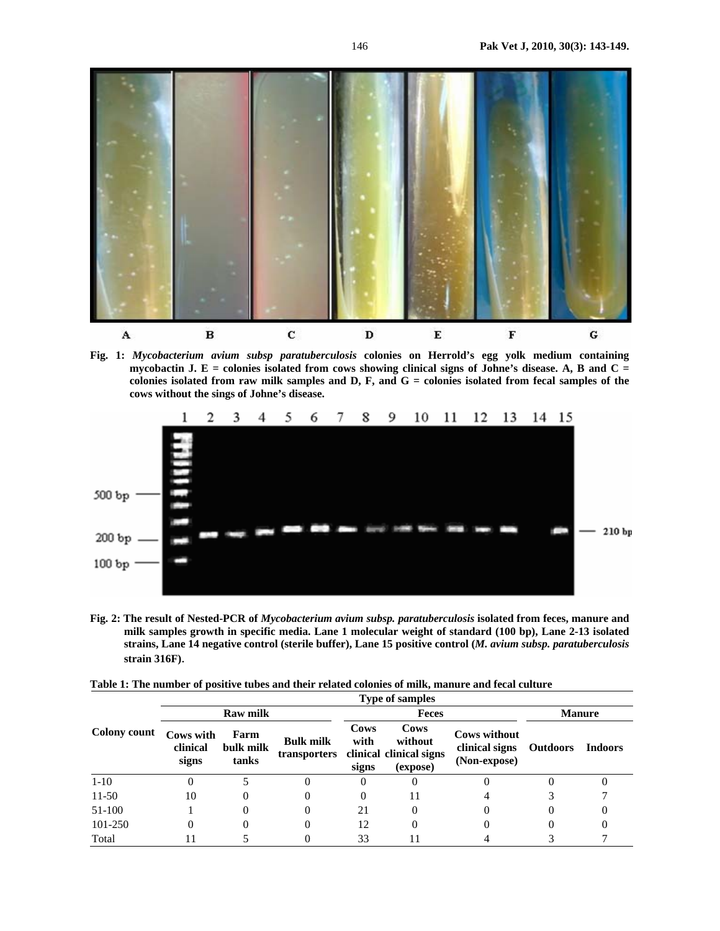

**Fig. 1:** *Mycobacterium avium subsp paratuberculosis* **colonies on Herrold's egg yolk medium containing mycobactin J. E = colonies isolated from cows showing clinical signs of Johne's disease. A, B and C = colonies isolated from raw milk samples and D, F, and G = colonies isolated from fecal samples of the cows without the sings of Johne's disease.** 



**Fig. 2: The result of Nested-PCR of** *Mycobacterium avium subsp. paratuberculosis* **isolated from feces, manure and milk samples growth in specific media. Lane 1 molecular weight of standard (100 bp), Lane 2-13 isolated strains, Lane 14 negative control (sterile buffer), Lane 15 positive control (***M. avium subsp. paratuberculosis* **strain 316F)**.

|  |  | Table 1: The number of positive tubes and their related colonies of milk, manure and fecal culture |  |
|--|--|----------------------------------------------------------------------------------------------------|--|
|--|--|----------------------------------------------------------------------------------------------------|--|

|                     |                                |                            |                  |                              | <b>Type of samples</b>                                              |                                                       |                 |         |  |
|---------------------|--------------------------------|----------------------------|------------------|------------------------------|---------------------------------------------------------------------|-------------------------------------------------------|-----------------|---------|--|
|                     |                                | <b>Raw milk</b>            |                  |                              | <b>Feces</b>                                                        |                                                       | <b>Manure</b>   |         |  |
| <b>Colony count</b> | Cows with<br>clinical<br>signs | Farm<br>bulk milk<br>tanks | <b>Bulk milk</b> | <b>Cows</b><br>with<br>signs | Cows<br>without<br>transporters clinical clinical signs<br>(expose) | <b>Cows without</b><br>clinical signs<br>(Non-expose) | <b>Outdoors</b> | Indoors |  |
| $1 - 10$            |                                |                            | O                | 0                            |                                                                     | O                                                     | 0               |         |  |
| $11-50$             | 10                             |                            | 0                | $\theta$                     |                                                                     |                                                       |                 |         |  |
| 51-100              |                                | 0                          | 0                | 21                           |                                                                     |                                                       | 0               |         |  |
| 101-250             | 0                              |                            | 0                | 12                           |                                                                     |                                                       | 0               |         |  |
| Total               |                                |                            |                  | 33                           |                                                                     |                                                       |                 |         |  |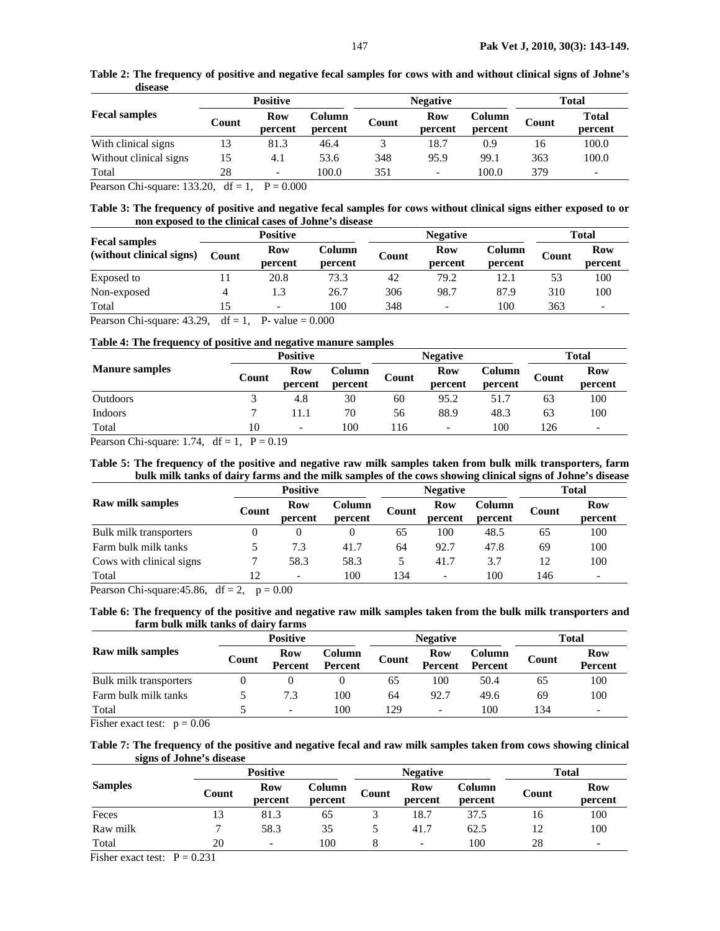| шэсаэс                 |       |                 |         |       |                          |              |       |                          |
|------------------------|-------|-----------------|---------|-------|--------------------------|--------------|-------|--------------------------|
|                        |       | <b>Positive</b> |         |       | <b>Negative</b>          | <b>Total</b> |       |                          |
| <b>Fecal samples</b>   | Count | Column<br>Row   |         | Count | Row                      | Column       |       | <b>Total</b>             |
|                        |       | percent         | percent |       | percent                  | percent      | Count | percent                  |
| With clinical signs    | 13    | 81.3            | 46.4    |       | 18.7                     | 0.9          | 16    | 100.0                    |
| Without clinical signs | 15    | 4.1             | 53.6    | 348   | 95.9                     | 99.1         | 363   | 100.0                    |
| Total                  | 28    | -               | 100.0   | 351   | $\overline{\phantom{0}}$ | 100.0        | 379   | $\overline{\phantom{0}}$ |

**Table 2: The frequency of positive and negative fecal samples for cows with and without clinical signs of Johne's disease** 

Pearson Chi-square: 133.20,  $df = 1$ ,  $P = 0.000$ 

**Table 3: The frequency of positive and negative fecal samples for cows without clinical signs either exposed to or non exposed to the clinical cases of Johne's disease** 

|                                                                                                                                                                                                                                                                                                                                    |                | <b>Positive</b>          |                   |       | <b>Negative</b>          | <b>Total</b>      |       |                          |
|------------------------------------------------------------------------------------------------------------------------------------------------------------------------------------------------------------------------------------------------------------------------------------------------------------------------------------|----------------|--------------------------|-------------------|-------|--------------------------|-------------------|-------|--------------------------|
| <b>Fecal samples</b><br>(without clinical signs)                                                                                                                                                                                                                                                                                   | Count          | Row<br>percent           | Column<br>percent | Count | Row<br>percent           | Column<br>percent | Count | <b>Row</b><br>percent    |
| Exposed to                                                                                                                                                                                                                                                                                                                         |                | 20.8                     | 73.3              | 42    | 79.2                     | 12.1              | 53    | 100                      |
| Non-exposed                                                                                                                                                                                                                                                                                                                        | 4              | 1.3                      | 26.7              | 306   | 98.7                     | 87.9              | 310   | 100                      |
| Total                                                                                                                                                                                                                                                                                                                              | 15             | $\overline{\phantom{a}}$ | 100               | 348   | $\overline{\phantom{0}}$ | 100               | 363   | $\overline{\phantom{a}}$ |
| $\mathbf{D}$ $\mathbf{C}$ $\mathbf{L}$ $\mathbf{L}$ $\mathbf{D}$ $\mathbf{A}$ $\mathbf{D}$ $\mathbf{A}$ $\mathbf{D}$ $\mathbf{D}$ $\mathbf{L}$ $\mathbf{L}$ $\mathbf{L}$ $\mathbf{D}$ $\mathbf{D}$ $\mathbf{L}$ $\mathbf{L}$ $\mathbf{L}$ $\mathbf{L}$ $\mathbf{L}$ $\mathbf{L}$ $\mathbf{L}$ $\mathbf{L}$ $\mathbf{L}$ $\mathbf{$ | $\overline{1}$ | $P = 1$ $0.000$          |                   |       |                          |                   |       |                          |

Pearson Chi-square:  $43.29$ , df = 1, P- value = 0.000

# **Table 4: The frequency of positive and negative manure samples**

|                       | <b>Positive</b> |                          |                   |       | <b>Negative</b>          | <b>Total</b>      |       |                          |
|-----------------------|-----------------|--------------------------|-------------------|-------|--------------------------|-------------------|-------|--------------------------|
| <b>Manure samples</b> | Count           | <b>Row</b><br>percent    | Column<br>percent | Count | Row<br>percent           | Column<br>percent | Count | Row<br>percent           |
| <b>Outdoors</b>       |                 | 4.8                      | 30                | 60    | 95.2                     | 51.7              | 63    | 100                      |
| <b>Indoors</b>        | ⇁               | 11.1                     | 70                | 56    | 88.9                     | 48.3              | 63    | 100                      |
| Total                 | 10              | $\overline{\phantom{a}}$ | 100               | 116   | $\overline{\phantom{a}}$ | 100               | 126   | $\overline{\phantom{a}}$ |

Pearson Chi-square: 1.74,  $df = 1$ ,  $P = 0.19$ 

## **Table 5: The frequency of the positive and negative raw milk samples taken from bulk milk transporters, farm bulk milk tanks of dairy farms and the milk samples of the cows showing clinical signs of Johne's disease**

|                          | <b>Positive</b> |                          |                   |       | <b>Negative</b>          | Total             |       |                          |
|--------------------------|-----------------|--------------------------|-------------------|-------|--------------------------|-------------------|-------|--------------------------|
| <b>Raw milk samples</b>  | Count           | Row<br>percent           | Column<br>percent | Count | Row<br>percent           | Column<br>percent | Count | <b>Row</b><br>percent    |
| Bulk milk transporters   |                 |                          |                   | 65    | 100                      | 48.5              | 65    | 100                      |
| Farm bulk milk tanks     |                 | 7.3                      | 41.7              | 64    | 92.7                     | 47.8              | 69    | 100                      |
| Cows with clinical signs |                 | 58.3                     | 58.3              |       | 41.7                     | 3.7               | 12    | 100                      |
| Total                    | 12              | $\overline{\phantom{a}}$ | 100               | 134   | $\overline{\phantom{a}}$ | 100               | 146   | $\overline{\phantom{a}}$ |

Pearson Chi-square: 45.86, df = 2,  $p = 0.00$ 

**Table 6: The frequency of the positive and negative raw milk samples taken from the bulk milk transporters and farm bulk milk tanks of dairy farms** 

|                         |       | <b>Positive</b>          |                          |       | <b>Negative</b>          | Total                    |       |                              |
|-------------------------|-------|--------------------------|--------------------------|-------|--------------------------|--------------------------|-------|------------------------------|
| <b>Raw milk samples</b> | Count | Row<br>Percent           | Column<br><b>Percent</b> | Count | Row<br><b>Percent</b>    | Column<br><b>Percent</b> | Count | <b>Row</b><br><b>Percent</b> |
| Bulk milk transporters  |       |                          |                          | 65    | 100                      | 50.4                     | 65    | 100                          |
| Farm bulk milk tanks    |       | 7.3                      | 100                      | 64    | 92.7                     | 49.6                     | 69    | 100                          |
| Total                   |       | $\overline{\phantom{a}}$ | 100                      | 129   | $\overline{\phantom{a}}$ | 100                      | 134   | $\overline{\phantom{0}}$     |

Fisher exact test:  $p = 0.06$ 

**Table 7: The frequency of the positive and negative fecal and raw milk samples taken from cows showing clinical signs of Johne's disease** 

|                |       | <b>Positive</b>          |                   |       | <b>Negative</b>          | <b>Total</b>      |       |                       |
|----------------|-------|--------------------------|-------------------|-------|--------------------------|-------------------|-------|-----------------------|
| <b>Samples</b> | Count | <b>Row</b><br>percent    | Column<br>percent | Count | Row<br>percent           | Column<br>percent | Count | <b>Row</b><br>percent |
| Feces          | 13    | 81.3                     | 65                |       | 18.7                     | 37.5              | 16    | 100                   |
| Raw milk       |       | 58.3                     | 35                |       | 41.7                     | 62.5              | 12    | 100                   |
| Total          | 20    | $\overline{\phantom{a}}$ | 100               |       | $\overline{\phantom{a}}$ | 100               | 28    |                       |

Fisher exact test:  $P = 0.231$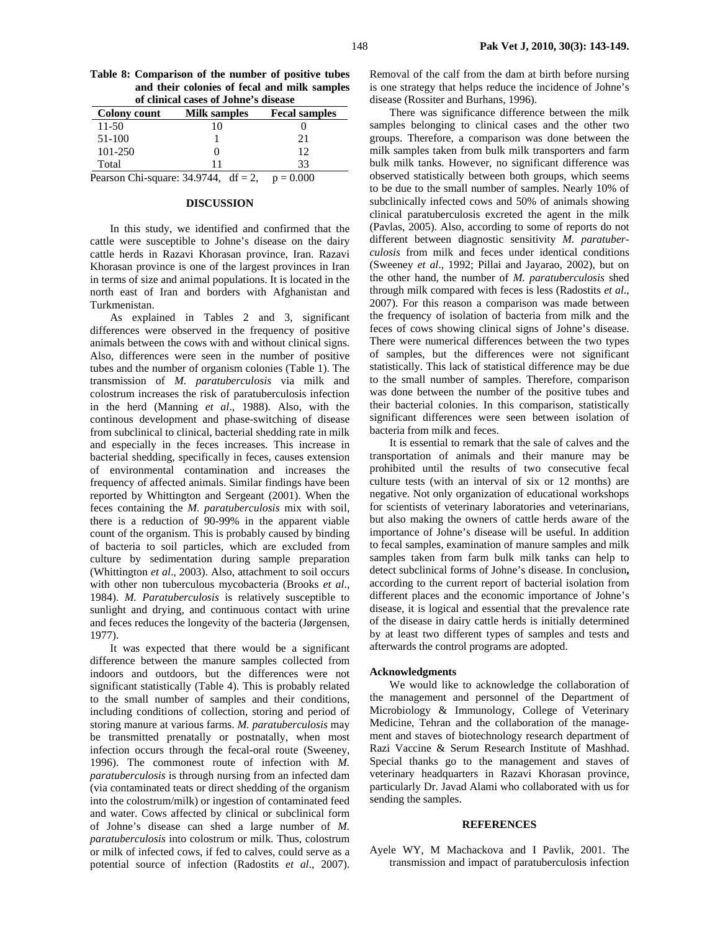| Table 8: Comparison of the number of positive tubes |
|-----------------------------------------------------|
| and their colonies of fecal and milk samples        |
| of clinical cases of Johne's disease                |

| <b>Colony count</b> | Milk samples                                        | <b>Fecal samples</b> |
|---------------------|-----------------------------------------------------|----------------------|
| 11-50               |                                                     |                      |
| 51-100              |                                                     | 21                   |
| 101-250             |                                                     | 12                   |
| Total               |                                                     | 33                   |
|                     | Pearson Chi-square: 34.9744, $df = 2$ , $p = 0.000$ |                      |

## **DISCUSSION**

In this study, we identified and confirmed that the cattle were susceptible to Johne's disease on the dairy cattle herds in Razavi Khorasan province, Iran. Razavi Khorasan province is one of the largest provinces in Iran in terms of size and animal populations. It is located in the north east of Iran and borders with Afghanistan and Turkmenistan.

As explained in Tables 2 and 3, significant differences were observed in the frequency of positive animals between the cows with and without clinical signs. Also, differences were seen in the number of positive tubes and the number of organism colonies (Table 1). The transmission of *M. paratuberculosis* via milk and colostrum increases the risk of paratuberculosis infection in the herd (Manning *et al*., 1988). Also, with the continous development and phase-switching of disease from subclinical to clinical, bacterial shedding rate in milk and especially in the feces increases. This increase in bacterial shedding, specifically in feces, causes extension of environmental contamination and increases the frequency of affected animals. Similar findings have been reported by Whittington and Sergeant (2001). When the feces containing the *M. paratuberculosis* mix with soil, there is a reduction of 90-99% in the apparent viable count of the organism. This is probably caused by binding of bacteria to soil particles, which are excluded from culture by sedimentation during sample preparation (Whittington *et al*., 2003). Also, attachment to soil occurs with other non tuberculous mycobacteria (Brooks *et al*., 1984). *M. Paratuberculosis* is relatively susceptible to sunlight and drying, and continuous contact with urine and feces reduces the longevity of the bacteria (Jørgensen, 1977).

It was expected that there would be a significant difference between the manure samples collected from indoors and outdoors, but the differences were not significant statistically (Table 4). This is probably related to the small number of samples and their conditions, including conditions of collection, storing and period of storing manure at various farms. *M. paratuberculosis* may be transmitted prenatally or postnatally, when most infection occurs through the fecal-oral route (Sweeney, 1996). The commonest route of infection with *M. paratuberculosis* is through nursing from an infected dam (via contaminated teats or direct shedding of the organism into the colostrum/milk) or ingestion of contaminated feed and water. Cows affected by clinical or subclinical form of Johne's disease can shed a large number of *M. paratuberculosis* into colostrum or milk. Thus, colostrum or milk of infected cows, if fed to calves, could serve as a potential source of infection (Radostits *et al*., 2007).

Removal of the calf from the dam at birth before nursing is one strategy that helps reduce the incidence of Johne's disease (Rossiter and Burhans, 1996).

There was significance difference between the milk samples belonging to clinical cases and the other two groups. Therefore, a comparison was done between the milk samples taken from bulk milk transporters and farm bulk milk tanks. However, no significant difference was observed statistically between both groups, which seems to be due to the small number of samples. Nearly 10% of subclinically infected cows and 50% of animals showing clinical paratuberculosis excreted the agent in the milk (Pavlas, 2005). Also, according to some of reports do not different between diagnostic sensitivity *M. paratuberculosis* from milk and feces under identical conditions (Sweeney *et al*., 1992; Pillai and Jayarao, 2002), but on the other hand, the number of *M. paratuberculosis* shed through milk compared with feces is less (Radostits *et al*., 2007). For this reason a comparison was made between the frequency of isolation of bacteria from milk and the feces of cows showing clinical signs of Johne's disease. There were numerical differences between the two types of samples, but the differences were not significant statistically. This lack of statistical difference may be due to the small number of samples. Therefore, comparison was done between the number of the positive tubes and their bacterial colonies. In this comparison, statistically significant differences were seen between isolation of bacteria from milk and feces.

It is essential to remark that the sale of calves and the transportation of animals and their manure may be prohibited until the results of two consecutive fecal culture tests (with an interval of six or 12 months) are negative. Not only organization of educational workshops for scientists of veterinary laboratories and veterinarians, but also making the owners of cattle herds aware of the importance of Johne's disease will be useful. In addition to fecal samples, examination of manure samples and milk samples taken from farm bulk milk tanks can help to detect subclinical forms of Johne's disease. In conclusion**,**  according to the current report of bacterial isolation from different places and the economic importance of Johne's disease, it is logical and essential that the prevalence rate of the disease in dairy cattle herds is initially determined by at least two different types of samples and tests and afterwards the control programs are adopted.

#### **Acknowledgments**

We would like to acknowledge the collaboration of the management and personnel of the Department of Microbiology & Immunology, College of Veterinary Medicine, Tehran and the collaboration of the management and staves of biotechnology research department of Razi Vaccine & Serum Research Institute of Mashhad. Special thanks go to the management and staves of veterinary headquarters in Razavi Khorasan province, particularly Dr. Javad Alami who collaborated with us for sending the samples.

#### **REFERENCES**

Ayele WY, M Machackova and I Pavlik, 2001. The transmission and impact of paratuberculosis infection